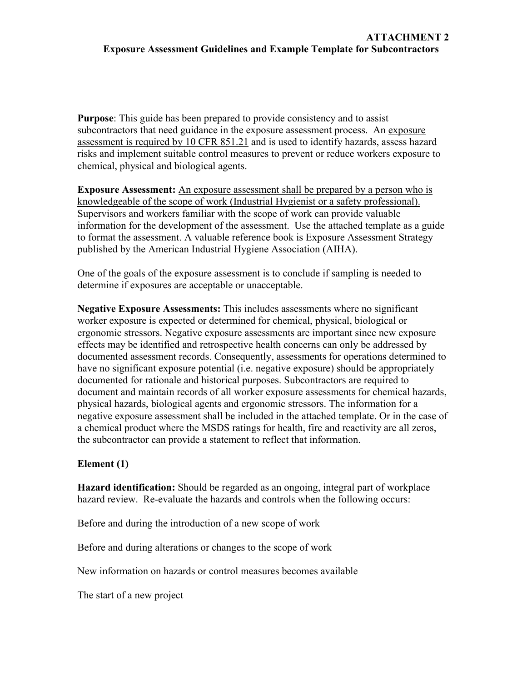**Purpose**: This guide has been prepared to provide consistency and to assist subcontractors that need guidance in the exposure assessment process. An exposure assessment is required by 10 CFR 851.21 and is used to identify hazards, assess hazard risks and implement suitable control measures to prevent or reduce workers exposure to chemical, physical and biological agents.

**Exposure Assessment:** An exposure assessment shall be prepared by a person who is knowledgeable of the scope of work (Industrial Hygienist or a safety professional). Supervisors and workers familiar with the scope of work can provide valuable information for the development of the assessment. Use the attached template as a guide to format the assessment. A valuable reference book is Exposure Assessment Strategy published by the American Industrial Hygiene Association (AIHA).

One of the goals of the exposure assessment is to conclude if sampling is needed to determine if exposures are acceptable or unacceptable.

**Negative Exposure Assessments:** This includes assessments where no significant worker exposure is expected or determined for chemical, physical, biological or ergonomic stressors. Negative exposure assessments are important since new exposure effects may be identified and retrospective health concerns can only be addressed by documented assessment records. Consequently, assessments for operations determined to have no significant exposure potential (i.e. negative exposure) should be appropriately documented for rationale and historical purposes. Subcontractors are required to document and maintain records of all worker exposure assessments for chemical hazards, physical hazards, biological agents and ergonomic stressors. The information for a negative exposure assessment shall be included in the attached template. Or in the case of a chemical product where the MSDS ratings for health, fire and reactivity are all zeros, the subcontractor can provide a statement to reflect that information.

## **Element (1)**

**Hazard identification:** Should be regarded as an ongoing, integral part of workplace hazard review. Re-evaluate the hazards and controls when the following occurs:

Before and during the introduction of a new scope of work

Before and during alterations or changes to the scope of work

New information on hazards or control measures becomes available

The start of a new project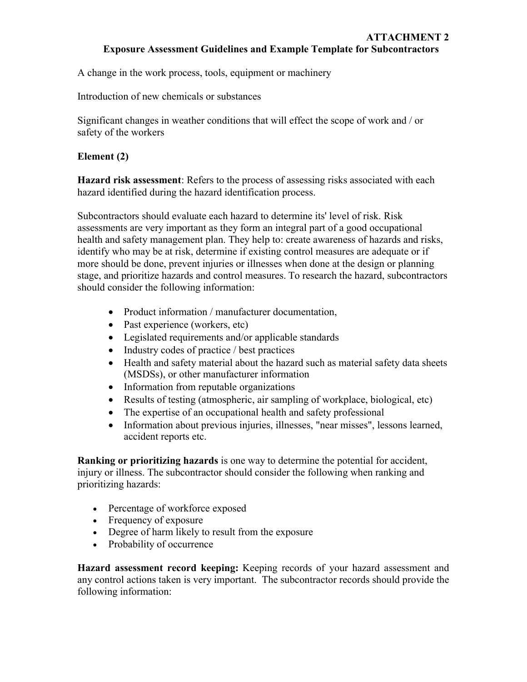A change in the work process, tools, equipment or machinery

Introduction of new chemicals or substances

Significant changes in weather conditions that will effect the scope of work and / or safety of the workers

## **Element (2)**

**Hazard risk assessment**: Refers to the process of assessing risks associated with each hazard identified during the hazard identification process.

Subcontractors should evaluate each hazard to determine its' level of risk. Risk assessments are very important as they form an integral part of a good occupational health and safety management plan. They help to: create awareness of hazards and risks, identify who may be at risk, determine if existing control measures are adequate or if more should be done, prevent injuries or illnesses when done at the design or planning stage, and prioritize hazards and control measures. To research the hazard, subcontractors should consider the following information:

- Product information / manufacturer documentation,
- Past experience (workers, etc)
- Legislated requirements and/or applicable standards
- Industry codes of practice / best practices
- Health and safety material about the hazard such as material safety data sheets (MSDSs), or other manufacturer information
- Information from reputable organizations
- Results of testing (atmospheric, air sampling of workplace, biological, etc)
- The expertise of an occupational health and safety professional
- Information about previous injuries, illnesses, "near misses", lessons learned, accident reports etc.

**Ranking or prioritizing hazards** is one way to determine the potential for accident, injury or illness. The subcontractor should consider the following when ranking and prioritizing hazards:

- Percentage of workforce exposed
- Frequency of exposure
- Degree of harm likely to result from the exposure
- Probability of occurrence

**Hazard assessment record keeping:** Keeping records of your hazard assessment and any control actions taken is very important. The subcontractor records should provide the following information: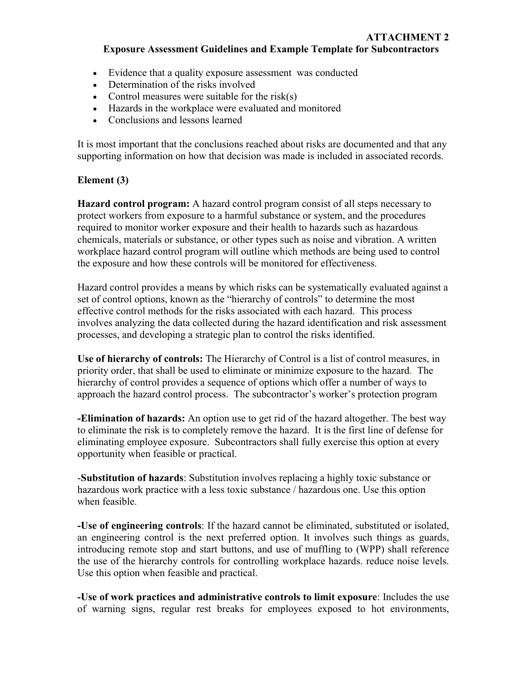- Evidence that a quality exposure assessment was conducted
- Determination of the risks involved
- Control measures were suitable for the risk $(s)$
- Hazards in the workplace were evaluated and monitored
- Conclusions and lessons learned

It is most important that the conclusions reached about risks are documented and that any supporting information on how that decision was made is included in associated records.

## **Element (3)**

**Hazard control program:** A hazard control program consist of all steps necessary to protect workers from exposure to a harmful substance or system, and the procedures required to monitor worker exposure and their health to hazards such as hazardous chemicals, materials or substance, or other types such as noise and vibration. A written workplace hazard control program will outline which methods are being used to control the exposure and how these controls will be monitored for effectiveness.

Hazard control provides a means by which risks can be systematically evaluated against a set of control options, known as the "hierarchy of controls" to determine the most effective control methods for the risks associated with each hazard. This process involves analyzing the data collected during the hazard identification and risk assessment processes, and developing a strategic plan to control the risks identified.

**Use of hierarchy of controls:** The Hierarchy of Control is a list of control measures, in priority order, that shall be used to eliminate or minimize exposure to the hazard. The hierarchy of control provides a sequence of options which offer a number of ways to approach the hazard control process. The subcontractor's worker's protection program

**-Elimination of hazards:** An option use to get rid of the hazard altogether. The best way to eliminate the risk is to completely remove the hazard. It is the first line of defense for eliminating employee exposure. Subcontractors shall fully exercise this option at every opportunity when feasible or practical.

-**Substitution of hazards**: Substitution involves replacing a highly toxic substance or hazardous work practice with a less toxic substance / hazardous one. Use this option when feasible.

**-Use of engineering controls**: If the hazard cannot be eliminated, substituted or isolated, an engineering control is the next preferred option. It involves such things as guards, introducing remote stop and start buttons, and use of muffling to (WPP) shall reference the use of the hierarchy controls for controlling workplace hazards. reduce noise levels. Use this option when feasible and practical.

**-Use of work practices and administrative controls to limit exposure**: Includes the use of warning signs, regular rest breaks for employees exposed to hot environments,